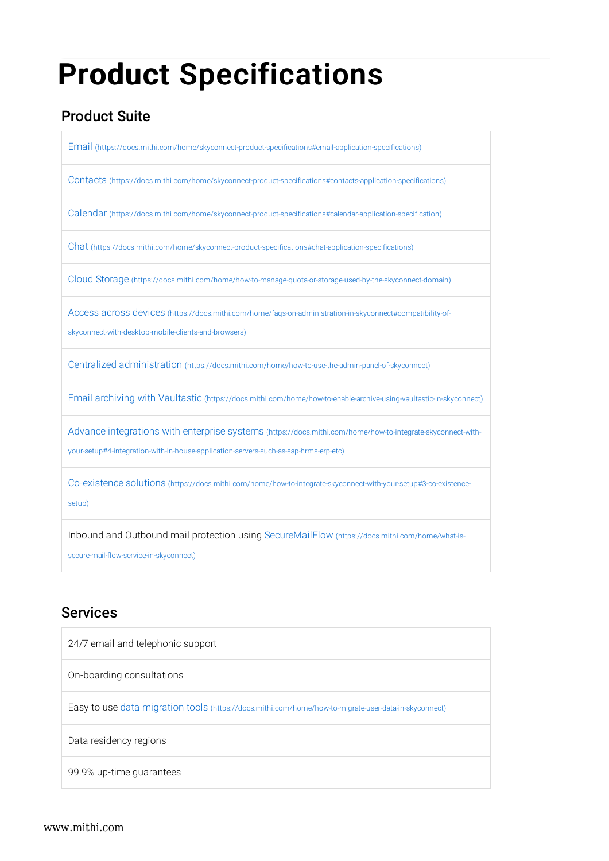# Product Specifications

# Product Suite

Email (https://docs.mithi.com/home/skyconnect-product-specifications#email-application-specifications) Contacts (https://docs.mithi.com/home/skyconnect-product-specifications#contacts-application-specifications) Calendar (https://docs.mithi.com/home/skyconnect-product-specifications#calendar-application-specification) Chat (https://docs.mithi.com/home/skyconnect-product-specifications#chat-application-specifications) Cloud Storage (https://docs.mithi.com/home/how-to-manage-quota-or-storage-used-by-the-skyconnect-domain)

Access across devices (https://docs.mithi.com/home/faqs-on-administration-in-skyconnect#compatibility-of-

skyconnect-with-desktop-mobile-clients-and-browsers)

Centralized administration (https://docs.mithi.com/home/how-to-use-the-admin-panel-of-skyconnect)

Email archiving with Vaultastic (https://docs.mithi.com/home/how-to-enable-archive-using-vaultastic-in-skyconnect)

Advance integrations with enterprise systems (https://docs.mithi.com/home/how-to-integrate-skyconnect-withyour-setup#4-integration-with-in-house-application-servers-such-as-sap-hrms-erp-etc)

Co-existence solutions (https://docs.mithi.com/home/how-to-integrate-skyconnect-with-your-setup#3-co-existencesetup)

Inbound and Outbound mail protection using SecureMailFlow (https://docs.mithi.com/home/what-issecure-mail-flow-service-in-skyconnect)

## Services

| 24/7 email and telephonic support                                                                     |
|-------------------------------------------------------------------------------------------------------|
| On-boarding consultations                                                                             |
| Easy to use data migration tools (https://docs.mithi.com/home/how-to-migrate-user-data-in-skyconnect) |
| Data residency regions                                                                                |
| 99.9% up-time guarantees                                                                              |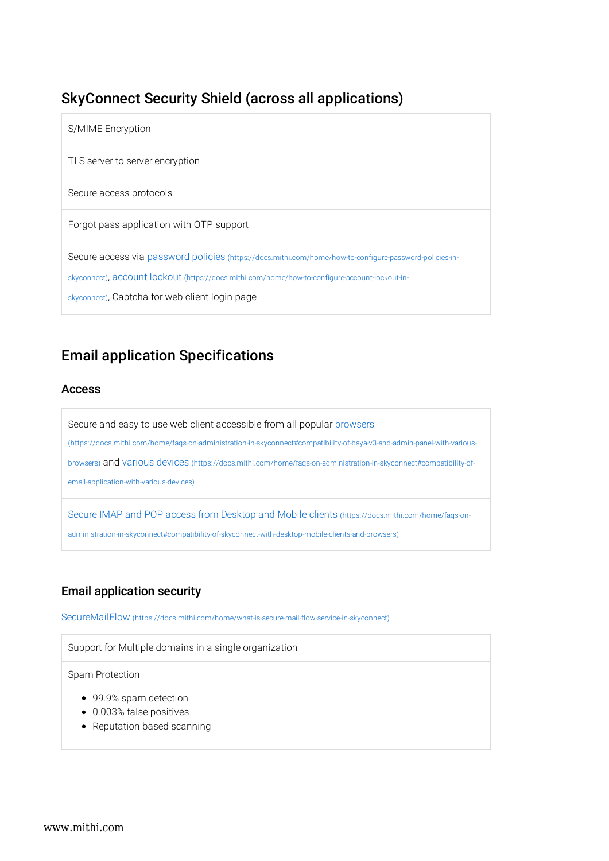# SkyConnect Security Shield (across all applications)

| S/MIME Encryption                                                                                                                                                                                                                                           |
|-------------------------------------------------------------------------------------------------------------------------------------------------------------------------------------------------------------------------------------------------------------|
| TLS server to server encryption                                                                                                                                                                                                                             |
| Secure access protocols                                                                                                                                                                                                                                     |
| Forgot pass application with OTP support                                                                                                                                                                                                                    |
| Secure access via password policies (https://docs.mithi.com/home/how-to-configure-password-policies-in-<br>skyconnect), account lockout (https://docs.mithi.com/home/how-to-configure-account-lockout-in-<br>skyconnect), Captcha for web client login page |

# Email application Specifications

### Access

Secure and easy to use web client accessible from all popular browsers (https://docs.mithi.com/home/faqs-on-administration-in-skyconnect#compatibility-of-baya-v3-and-admin-panel-with-variousbrowsers) and various devices (https://docs.mithi.com/home/faqs-on-administration-in-skyconnect#compatibility-ofemail-application-with-various-devices)

Secure IMAP and POP access from Desktop and Mobile clients (https://docs.mithi.com/home/faqs-onadministration-in-skyconnect#compatibility-of-skyconnect-with-desktop-mobile-clients-and-browsers)

### Email application security

SecureMailFlow (https://docs.mithi.com/home/what-is-secure-mail-flow-service-in-skyconnect)

Support for Multiple domains in a single organization

Spam Protection

- 99.9% spam detection
- 0.003% false positives
- Reputation based scanning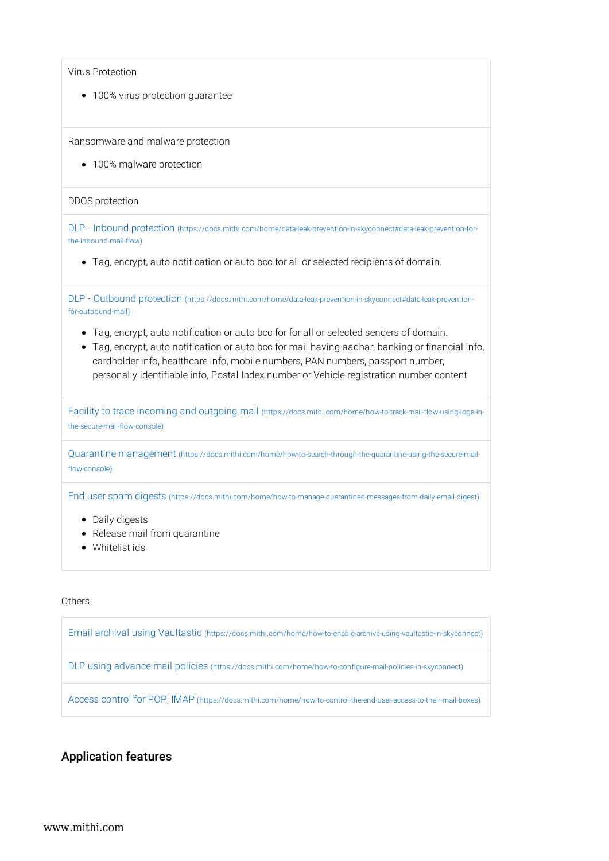• 100% virus protection guarantee

Ransomware and malware protection

• 100% malware protection

#### DDOS protection

DLP - Inbound protection (https://docs.mithi.com/home/data-leak-prevention-in-skyconnect#data-leak-prevention-forthe-inbound-mail-flow)

Tag, encrypt, auto notification or auto bcc for all or selected recipients of domain.

DLP - Outbound protection (https://docs.mithi.com/home/data-leak-prevention-in-skyconnect#data-leak-preventionfor-outbound-mail)

- Tag, encrypt, auto notification or auto bcc for for all or selected senders of domain.
- Tag, encrypt, auto notification or auto bcc for mail having aadhar, banking or financial info, cardholder info, healthcare info, mobile numbers, PAN numbers, passport number, personally identifiable info, Postal Index number or Vehicle registration number content.

Facility to trace incoming and outgoing mail (https://docs.mithi.com/home/how-to-track-mail-flow-using-logs-inthe-secure-mail-flow-console)

Quarantine management (https://docs.mithi.com/home/how-to-search-through-the-quarantine-using-the-secure-mailflow-console)

End user spam digests (https://docs.mithi.com/home/how-to-manage-quarantined-messages-from-daily-email-digest)

- Daily digests
- Release mail from quarantine
- Whitelist ids

#### **Others**

Email archival using Vaultastic (https://docs.mithi.com/home/how-to-enable-archive-using-vaultastic-in-skyconnect)

DLP using advance mail policies (https://docs.mithi.com/home/how-to-configure-mail-policies-in-skyconnect)

Access control for POP, IMAP (https://docs.mithi.com/home/how-to-control-the-end-user-access-to-their-mail-boxes)

### Application features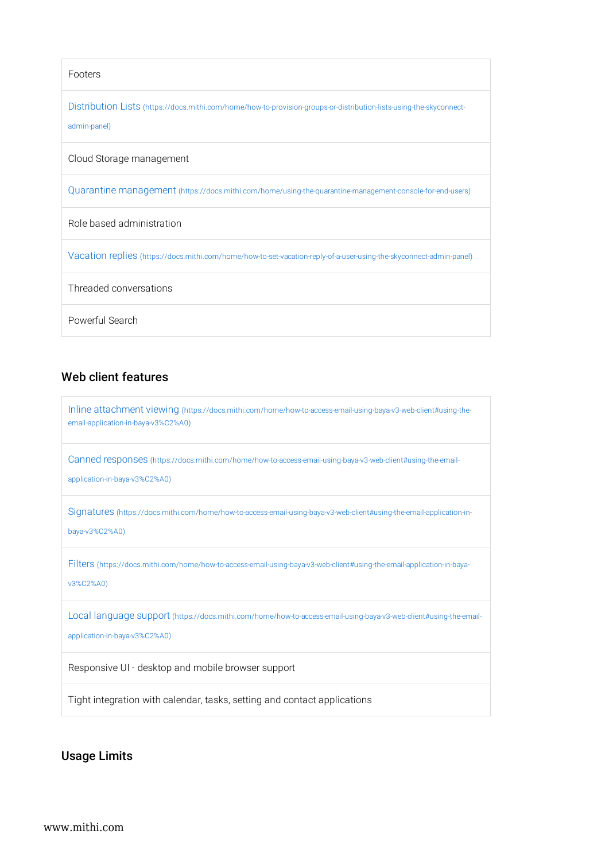| Footers                                                                                                                             |
|-------------------------------------------------------------------------------------------------------------------------------------|
| Distribution Lists (https://docs.mithi.com/home/how-to-provision-groups-or-distribution-lists-using-the-skyconnect-<br>admin-panel) |
| Cloud Storage management                                                                                                            |
| Quarantine management (https://docs.mithi.com/home/using-the-quarantine-management-console-for-end-users)                           |
| Role based administration                                                                                                           |
| Vacation replies (https://docs.mithi.com/home/how-to-set-vacation-reply-of-a-user-using-the-skyconnect-admin-panel)                 |
| Threaded conversations                                                                                                              |
| Powerful Search                                                                                                                     |

### Web client features

| Inline attachment viewing (https://docs.mithi.com/home/how-to-access-email-using-baya-v3-web-client#using-the-<br>email-application-in-baya-v3%C2%A0) |
|-------------------------------------------------------------------------------------------------------------------------------------------------------|
| Canned responses (https://docs.mithi.com/home/how-to-access-email-using-baya-v3-web-client#using-the-email-<br>application-in-baya-v3%C2%A0)          |
| Signatures (https://docs.mithi.com/home/how-to-access-email-using-baya-v3-web-client#using-the-email-application-in-<br>baya-v3%C2%A0)                |
| Filters (https://docs.mithi.com/home/how-to-access-email-using-baya-v3-web-client#using-the-email-application-in-baya-<br>v3%C2%A0)                   |
| Local language support (https://docs.mithi.com/home/how-to-access-email-using-baya-v3-web-client#using-the-email-<br>application-in-baya-v3%C2%A0)    |
| Responsive UI - desktop and mobile browser support                                                                                                    |
| Tight integration with calendar, tasks, setting and contact applications                                                                              |

Usage Limits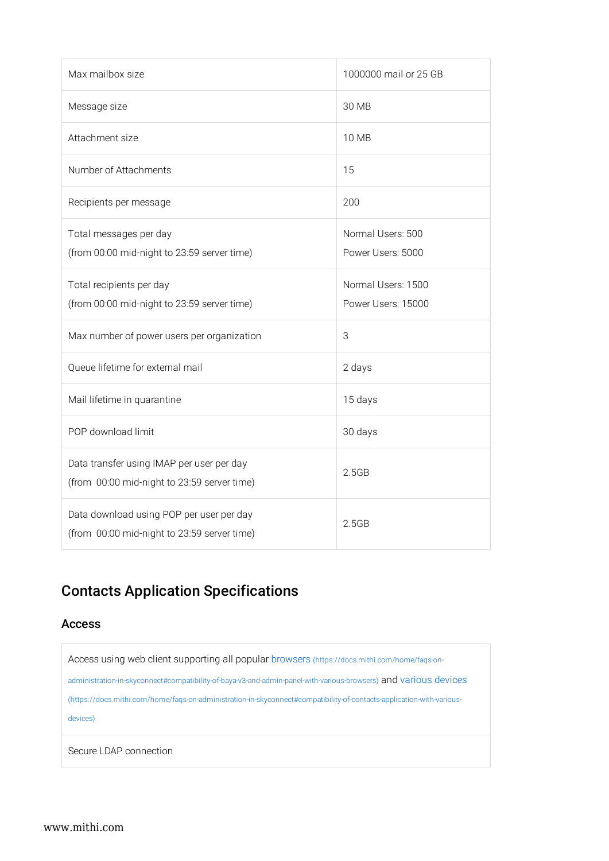| Max mailbox size                                                                         | 1000000 mail or 25 GB                    |
|------------------------------------------------------------------------------------------|------------------------------------------|
| Message size                                                                             | 30 MB                                    |
| Attachment size                                                                          | 10 MB                                    |
| Number of Attachments                                                                    | 15                                       |
| Recipients per message                                                                   | 200                                      |
| Total messages per day<br>(from 00:00 mid-night to 23:59 server time)                    | Normal Users: 500<br>Power Users: 5000   |
| Total recipients per day<br>(from 00:00 mid-night to 23:59 server time)                  | Normal Users: 1500<br>Power Users: 15000 |
| Max number of power users per organization                                               | 3                                        |
| Queue lifetime for external mail                                                         | 2 days                                   |
| Mail lifetime in quarantine                                                              | 15 days                                  |
| POP download limit                                                                       | 30 days                                  |
| Data transfer using IMAP per user per day<br>(from 00:00 mid-night to 23:59 server time) | 2.5GB                                    |
| Data download using POP per user per day<br>(from 00:00 mid-night to 23:59 server time)  | 2.5GB                                    |

# Contacts Application Specifications

### Access

| Access using web client supporting all popular browsers (https://docs.mithi.com/home/fags-on-                         |
|-----------------------------------------------------------------------------------------------------------------------|
| administration-in-skyconnect#compatibility-of-baya-v3-and-admin-panel-with-various-browsers) and various devices      |
| (https://docs.mithi.com/home/fags-on-administration-in-skyconnect#compatibility-of-contacts-application-with-various- |
| devices)                                                                                                              |
|                                                                                                                       |
| Secure LDAP connection                                                                                                |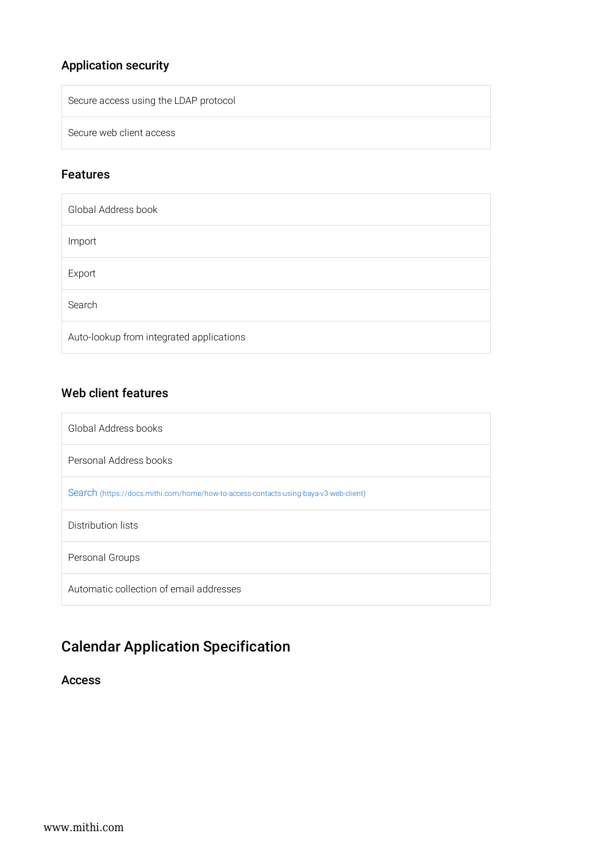# Application security

Secure access using the LDAP protocol

Secure web client access

### Features

| Global Address book                      |
|------------------------------------------|
| Import                                   |
| Export                                   |
| Search                                   |
| Auto-lookup from integrated applications |

## Web client features

| Global Address books                                                                 |
|--------------------------------------------------------------------------------------|
| Personal Address books                                                               |
| Search (https://docs.mithi.com/home/how-to-access-contacts-using-baya-v3-web-client) |
| Distribution lists                                                                   |
| Personal Groups                                                                      |
| Automatic collection of email addresses                                              |

# Calendar Application Specification

Access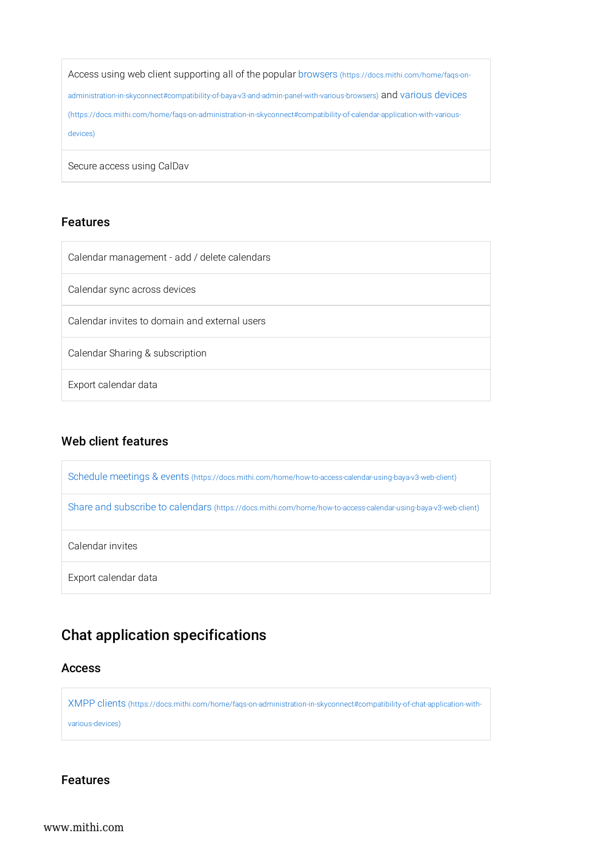Access using web client supporting all of the popular browsers (https://docs.mithi.com/home/faqs-onadministration-in-skyconnect#compatibility-of-baya-v3-and-admin-panel-with-various-browsers) and various devices (https://docs.mithi.com/home/faqs-on-administration-in-skyconnect#compatibility-of-calendar-application-with-variousdevices)

Secure access using CalDav

### Features

### Web client features

| Schedule meetings & events (https://docs.mithi.com/home/how-to-access-calendar-using-baya-v3-web-client)       |
|----------------------------------------------------------------------------------------------------------------|
| Share and subscribe to calendars (https://docs.mithi.com/home/how-to-access-calendar-using-baya-v3-web-client) |
| Calendar invites                                                                                               |
| Export calendar data                                                                                           |

# Chat application specifications

### Access

XMPP clients (https://docs.mithi.com/home/faqs-on-administration-in-skyconnect#compatibility-of-chat-application-with-

various-devices)

Features